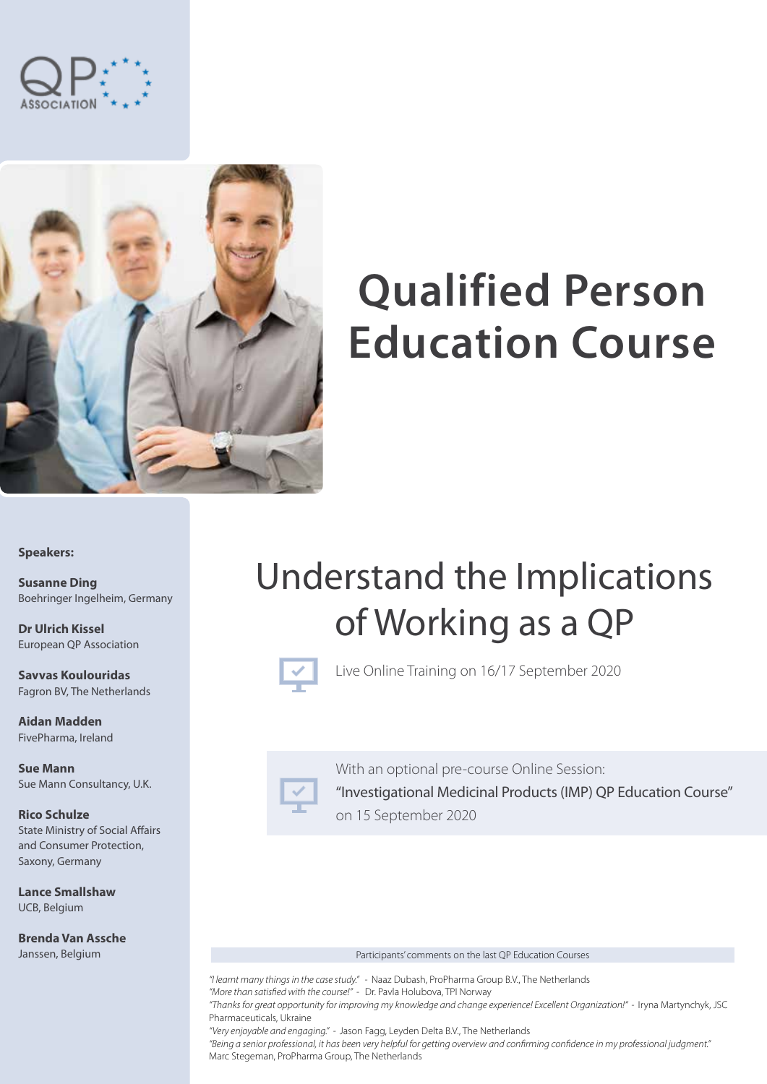



# **Qualified Person Education Course**

**Speakers:**

**Susanne Ding** Boehringer Ingelheim, Germany

**Dr Ulrich Kissel** European QP Association

**Savvas Koulouridas** Fagron BV, The Netherlands

**Aidan Madden** FivePharma, Ireland

**Sue Mann** Sue Mann Consultancy, U.K.

**Rico Schulze** State Ministry of Social Affairs and Consumer Protection, Saxony, Germany

**Lance Smallshaw** UCB, Belgium

**Brenda Van Assche** Janssen, Belgium

## Understand the Implications of Working as a QP



Live Online Training on 16/17 September 2020



With an optional pre-course Online Session: "Investigational Medicinal Products (IMP) QP Education Course" on 15 September 2020

#### Participants' comments on the last QP Education Courses

*"I learnt many things in the case study." -* Naaz Dubash, ProPharma Group B.V., The Netherlands *"More than satisfied with the course!" -* Dr. Pavla Holubova, TPI Norway *"Thanks for great opportunity for improving my knowledge and change experience! Excellent Organization!" -* Iryna Martynchyk, JSC

Pharmaceuticals, Ukraine *"Very enjoyable and engaging." -* Jason Fagg, Leyden Delta B.V., The Netherlands

*"Being a senior professional, it has been very helpful for getting overview and confirming confidence in my professional judgment."* Marc Stegeman, ProPharma Group, The Netherlands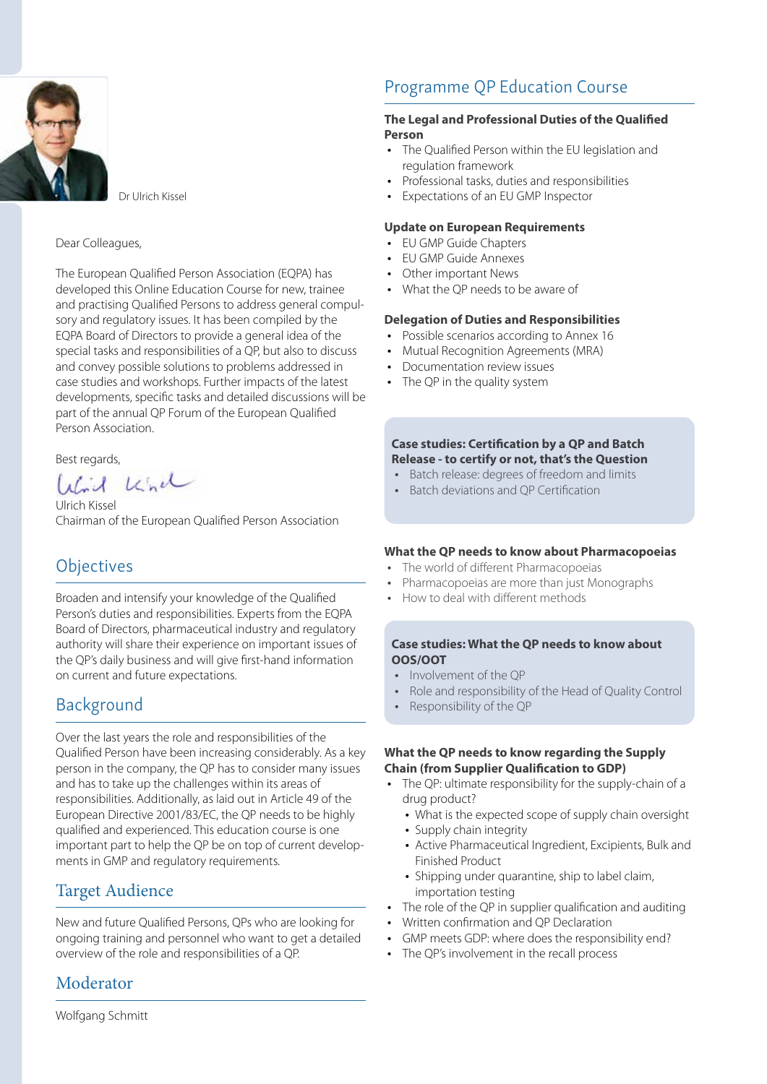

Dr Ulrich Kissel

#### Dear Colleagues,

The European Qualified Person Association (EQPA) has developed this Online Education Course for new, trainee and practising Qualified Persons to address general compulsory and regulatory issues. It has been compiled by the EQPA Board of Directors to provide a general idea of the special tasks and responsibilities of a QP, but also to discuss and convey possible solutions to problems addressed in case studies and workshops. Further impacts of the latest developments, specific tasks and detailed discussions will be part of the annual QP Forum of the European Qualified Person Association.

Best regards,

Wird While

Ulrich Kissel Chairman of the European Qualified Person Association

### **Objectives**

Broaden and intensify your knowledge of the Qualified Person's duties and responsibilities. Experts from the EQPA Board of Directors, pharmaceutical industry and regulatory authority will share their experience on important issues of the QP's daily business and will give first-hand information on current and future expectations.

### Background

Over the last years the role and responsibilities of the Qualified Person have been increasing considerably. As a key person in the company, the QP has to consider many issues and has to take up the challenges within its areas of responsibilities. Additionally, as laid out in Article 49 of the European Directive 2001/83/EC, the QP needs to be highly qualified and experienced. This education course is one important part to help the QP be on top of current developments in GMP and regulatory requirements.

### Target Audience

New and future Qualified Persons, QPs who are looking for ongoing training and personnel who want to get a detailed overview of the role and responsibilities of a QP.

### Moderator

Wolfgang Schmitt

### Programme QP Education Course

### **The Legal and Professional Duties of the Qualified Person**

- The Qualified Person within the EU legislation and regulation framework
- y Professional tasks, duties and responsibilities
- Expectations of an EU GMP Inspector

#### **Update on European Requirements**

- EU GMP Guide Chapters
- y EU GMP Guide Annexes
- Other important News
- What the QP needs to be aware of

### **Delegation of Duties and Responsibilities**

- Possible scenarios according to Annex 16
- Mutual Recognition Agreements (MRA)
- Documentation review issues
- The QP in the quality system

### **Case studies: Certification by a QP and Batch Release - to certify or not, that's the Question**

- Batch release: degrees of freedom and limits
- Batch deviations and OP Certification

### **What the QP needs to know about Pharmacopoeias**

- The world of different Pharmacopoeias
- Pharmacopoeias are more than just Monographs
- y How to deal with different methods

### **Case studies: What the QP needs to know about OOS/OOT**

- Involvement of the OP
- Role and responsibility of the Head of Quality Control
- Responsibility of the QP

### **What the QP needs to know regarding the Supply Chain (from Supplier Qualification to GDP)**

- The OP: ultimate responsibility for the supply-chain of a drug product?
	- What is the expected scope of supply chain oversight
	- Supply chain integrity
	- Active Pharmaceutical Ingredient, Excipients, Bulk and Finished Product
	- Shipping under quarantine, ship to label claim, importation testing
- The role of the OP in supplier qualification and auditing
- Written confirmation and OP Declaration
- GMP meets GDP: where does the responsibility end?
- The OP's involvement in the recall process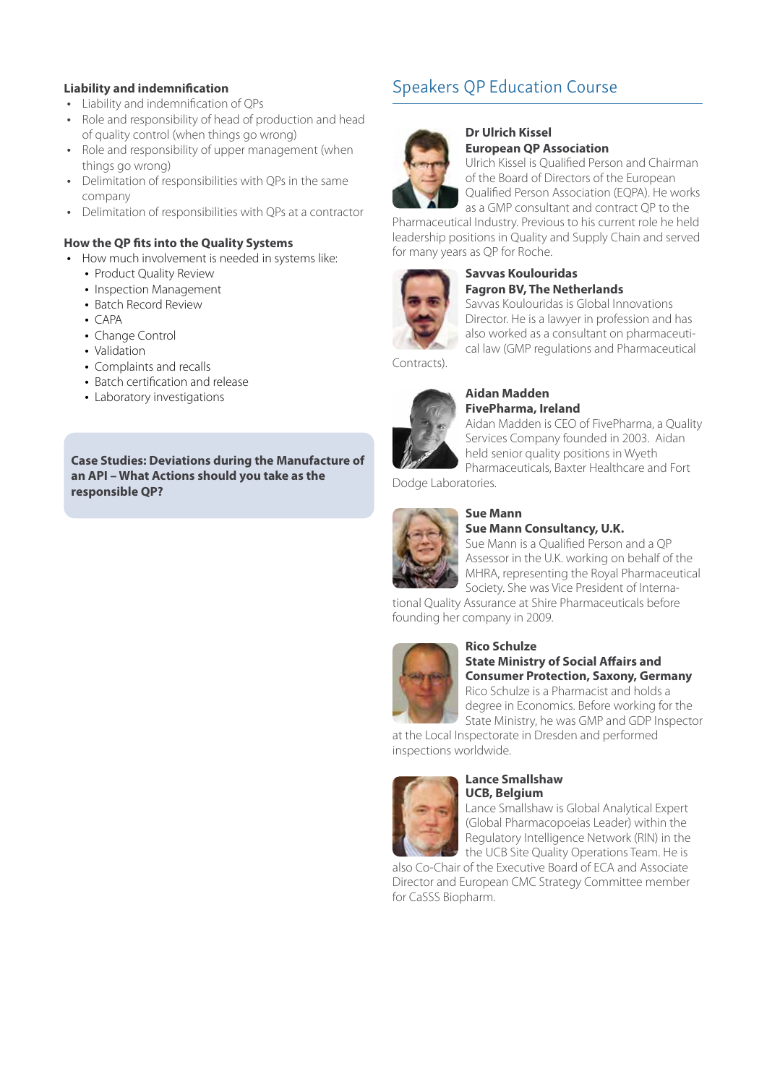### **Liability and indemnification**

- Liability and indemnification of QPs
- Role and responsibility of head of production and head of quality control (when things go wrong)
- Role and responsibility of upper management (when things go wrong)
- Delimitation of responsibilities with OPs in the same company
- Delimitation of responsibilities with QPs at a contractor

### **How the QP fits into the Quality Systems**

- How much involvement is needed in systems like:
	- Product Quality Review
	- Inspection Management
	- Batch Record Review
	- $\cdot$  CAPA
	- Change Control
	- Validation
	- Complaints and recalls
	- Batch certification and release
	- Laboratory investigations

**Case Studies: Deviations during the Manufacture of an API – What Actions should you take as the responsible QP?**

### Speakers QP Education Course



#### **Dr Ulrich Kissel European QP Association**

Ulrich Kissel is Qualified Person and Chairman of the Board of Directors of the European Qualified Person Association (EQPA). He works as a GMP consultant and contract QP to the

Pharmaceutical Industry. Previous to his current role he held leadership positions in Quality and Supply Chain and served for many years as QP for Roche.



#### **Savvas Koulouridas Fagron BV, The Netherlands**

Savvas Koulouridas is Global Innovations Director. He is a lawyer in profession and has also worked as a consultant on pharmaceutical law (GMP regulations and Pharmaceutical

Contracts).



#### **Aidan Madden FivePharma, Ireland**

Aidan Madden is CEO of FivePharma, a Quality Services Company founded in 2003. Aidan held senior quality positions in Wyeth Pharmaceuticals, Baxter Healthcare and Fort

Dodge Laboratories.



### **Sue Mann**

### **Sue Mann Consultancy, U.K.**

Sue Mann is a Qualified Person and a QP Assessor in the U.K. working on behalf of the MHRA, representing the Royal Pharmaceutical Society. She was Vice President of Interna-

tional Quality Assurance at Shire Pharmaceuticals before founding her company in 2009.



#### **Rico Schulze State Ministry of Social Affairs and Consumer Protection, Saxony, Germany** Rico Schulze is a Pharmacist and holds a

degree in Economics. Before working for the State Ministry, he was GMP and GDP Inspector

at the Local Inspectorate in Dresden and performed inspections worldwide.



#### **Lance Smallshaw UCB, Belgium**

Lance Smallshaw is Global Analytical Expert (Global Pharmacopoeias Leader) within the Regulatory Intelligence Network (RIN) in the the UCB Site Quality Operations Team. He is

also Co-Chair of the Executive Board of ECA and Associate Director and European CMC Strategy Committee member for CaSSS Biopharm.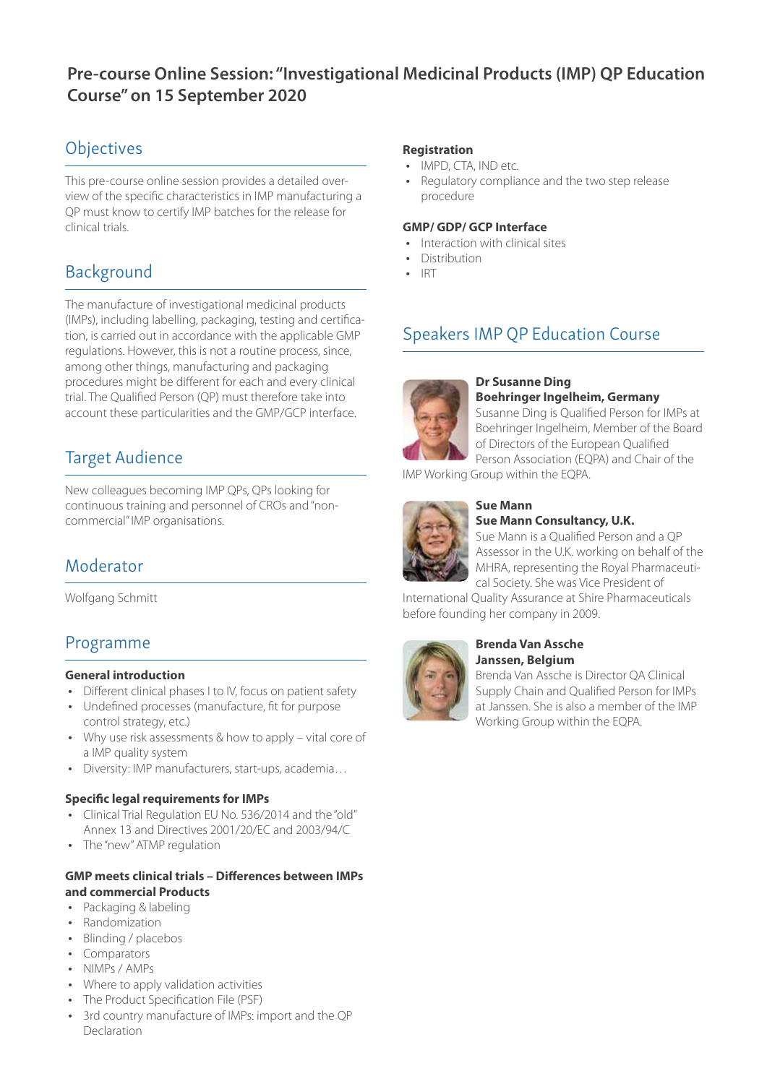### **Pre-course Online Session: "Investigational Medicinal Products (IMP) QP Education Course" on 15 September 2020**

### **Objectives**

This pre-course online session provides a detailed overview of the specific characteristics in IMP manufacturing a QP must know to certify IMP batches for the release for clinical trials.

### Background

The manufacture of investigational medicinal products (IMPs), including labelling, packaging, testing and certification, is carried out in accordance with the applicable GMP regulations. However, this is not a routine process, since, among other things, manufacturing and packaging procedures might be different for each and every clinical trial. The Qualified Person (QP) must therefore take into account these particularities and the GMP/GCP interface.

### Target Audience

New colleagues becoming IMP QPs, QPs looking for continuous training and personnel of CROs and "noncommercial" IMP organisations.

### Moderator

Wolfgang Schmitt

### Programme

### **General introduction**

- Different clinical phases I to IV, focus on patient safety
- Undefined processes (manufacture, fit for purpose control strategy, etc.)
- Why use risk assessments & how to apply vital core of a IMP quality system
- Diversity: IMP manufacturers, start-ups, academia...

### **Specific legal requirements for IMPs**

- Clinical Trial Regulation EU No. 536/2014 and the "old" Annex 13 and Directives 2001/20/EC and 2003/94/C
- The "new" ATMP regulation

### **GMP meets clinical trials – Differences between IMPs and commercial Products**

- Packaging & labeling
- Randomization
- Blinding / placebos
- Comparators
- NIMPs / AMPs
- Where to apply validation activities
- The Product Specification File (PSF)
- 3rd country manufacture of IMPs: import and the QP Declaration

### **Registration**

- IMPD, CTA, IND etc.
- Regulatory compliance and the two step release procedure

### **GMP/ GDP/ GCP Interface**

- Interaction with clinical sites
- Distribution
- **IRT**

### Speakers IMP QP Education Course



#### **Dr Susanne Ding Boehringer Ingelheim, Germany**

Susanne Ding is Qualified Person for IMPs at Boehringer Ingelheim, Member of the Board of Directors of the European Qualified Person Association (EQPA) and Chair of the

IMP Working Group within the EQPA.



#### **Sue Mann Sue Mann Consultancy, U.K.**

Sue Mann is a Qualified Person and a QP Assessor in the U.K. working on behalf of the MHRA, representing the Royal Pharmaceutical Society. She was Vice President of

International Quality Assurance at Shire Pharmaceuticals before founding her company in 2009.



### **Brenda Van Assche Janssen, Belgium**

Brenda Van Assche is Director QA Clinical Supply Chain and Qualified Person for IMPs at Janssen. She is also a member of the IMP Working Group within the EQPA.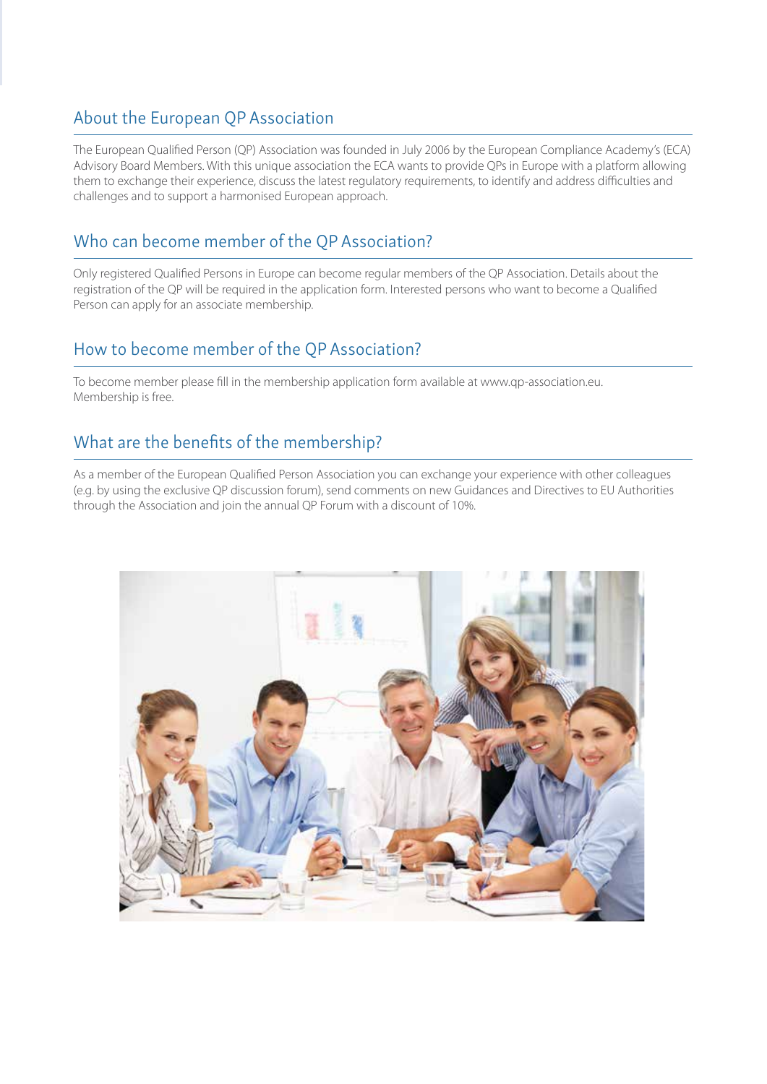### About the European QP Association

The European Qualified Person (QP) Association was founded in July 2006 by the European Compliance Academy's (ECA) Advisory Board Members. With this unique association the ECA wants to provide QPs in Europe with a platform allowing them to exchange their experience, discuss the latest regulatory requirements, to identify and address difficulties and challenges and to support a harmonised European approach.

### Who can become member of the QP Association?

Only registered Qualified Persons in Europe can become regular members of the QP Association. Details about the registration of the QP will be required in the application form. Interested persons who want to become a Qualified Person can apply for an associate membership.

### How to become member of the QP Association?

To become member please fill in the membership application form available at www.qp-association.eu. Membership is free.

### What are the benefits of the membership?

As a member of the European Qualified Person Association you can exchange your experience with other colleagues (e.g. by using the exclusive QP discussion forum), send comments on new Guidances and Directives to EU Authorities through the Association and join the annual QP Forum with a discount of 10%.